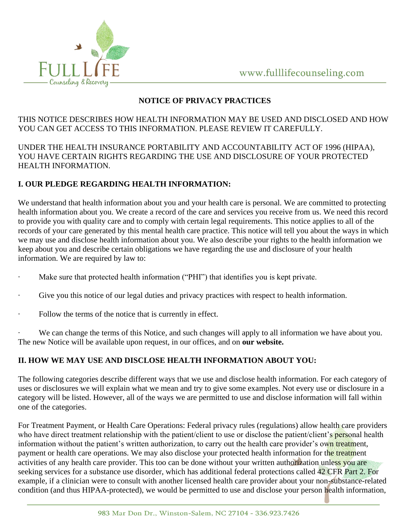

### **NOTICE OF PRIVACY PRACTICES**

### THIS NOTICE DESCRIBES HOW HEALTH INFORMATION MAY BE USED AND DISCLOSED AND HOW YOU CAN GET ACCESS TO THIS INFORMATION. PLEASE REVIEW IT CAREFULLY.

UNDER THE HEALTH INSURANCE PORTABILITY AND ACCOUNTABILITY ACT OF 1996 (HIPAA), YOU HAVE CERTAIN RIGHTS REGARDING THE USE AND DISCLOSURE OF YOUR PROTECTED HEALTH INFORMATION.

## **I. OUR PLEDGE REGARDING HEALTH INFORMATION:**

We understand that health information about you and your health care is personal. We are committed to protecting health information about you. We create a record of the care and services you receive from us. We need this record to provide you with quality care and to comply with certain legal requirements. This notice applies to all of the records of your care generated by this mental health care practice. This notice will tell you about the ways in which we may use and disclose health information about you. We also describe your rights to the health information we keep about you and describe certain obligations we have regarding the use and disclosure of your health information. We are required by law to:

- Make sure that protected health information ("PHI") that identifies you is kept private.
- Give you this notice of our legal duties and privacy practices with respect to health information.
- Follow the terms of the notice that is currently in effect.

We can change the terms of this Notice, and such changes will apply to all information we have about you. The new Notice will be available upon request, in our offices, and on **our website.**

# **II. HOW WE MAY USE AND DISCLOSE HEALTH INFORMATION ABOUT YOU:**

The following categories describe different ways that we use and disclose health information. For each category of uses or disclosures we will explain what we mean and try to give some examples. Not every use or disclosure in a category will be listed. However, all of the ways we are permitted to use and disclose information will fall within one of the categories.

For Treatment Payment, or Health Care Operations: Federal privacy rules (regulations) allow health care providers who have direct treatment relationship with the patient/client to use or disclose the patient/client's personal health information without the patient's written authorization, to carry out the health care provider's own treatment, payment or health care operations. We may also disclose your protected health information for the treatment activities of any health care provider. This too can be done without your written authorization unless you are seeking services for a substance use disorder, which has additional federal protections called 42 CFR Part 2. For example, if a clinician were to consult with another licensed health care provider about your non-substance-related condition (and thus HIPAA-protected), we would be permitted to use and disclose your person health information,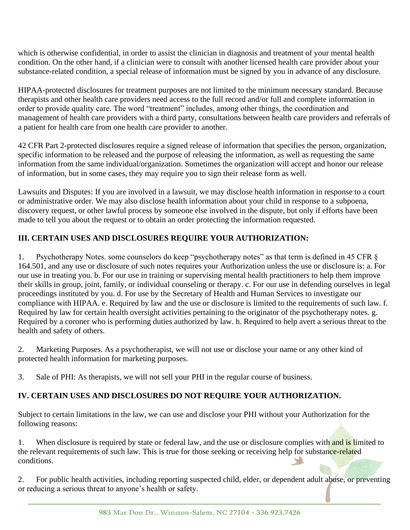which is otherwise confidential, in order to assist the clinician in diagnosis and treatment of your mental health condition. On the other hand, if a clinician were to consult with another licensed health care provider about your substance-related condition, a special release of information must be signed by you in advance of any disclosure.

HIPAA-protected disclosures for treatment purposes are not limited to the minimum necessary standard. Because therapists and other health care providers need access to the full record and/or full and complete information in order to provide quality care. The word "treatment" includes, among other things, the coordination and management of health care providers with a third party, consultations between health care providers and referrals of a patient for health care from one health care provider to another.

42 CFR Part 2-protected disclosures require a signed release of information that specifies the person, organization, specific information to be released and the purpose of releasing the information, as well as requesting the same information from the same individual/organization. Sometimes the organization will accept and honor our release of information, but in some cases, they may require you to sign their release form as well.

Lawsuits and Disputes: If you are involved in a lawsuit, we may disclose health information in response to a court or administrative order. We may also disclose health information about your child in response to a subpoena, discovery request, or other lawful process by someone else involved in the dispute, but only if efforts have been made to tell you about the request or to obtain an order protecting the information requested.

## **III. CERTAIN USES AND DISCLOSURES REQUIRE YOUR AUTHORIZATION:**

1. Psychotherapy Notes. some counselors do keep "psychotherapy notes" as that term is defined in 45 CFR § 164.501, and any use or disclosure of such notes requires your Authorization unless the use or disclosure is: a. For our use in treating you. b. For our use in training or supervising mental health practitioners to help them improve their skills in group, joint, family, or individual counseling or therapy. c. For our use in defending ourselves in legal proceedings instituted by you. d. For use by the Secretary of Health and Human Services to investigate our compliance with HIPAA. e. Required by law and the use or disclosure is limited to the requirements of such law. f. Required by law for certain health oversight activities pertaining to the originator of the psychotherapy notes. g. Required by a coroner who is performing duties authorized by law. h. Required to help avert a serious threat to the health and safety of others.

2. Marketing Purposes. As a psychotherapist, we will not use or disclose your name or any other kind of protected health information for marketing purposes.

3. Sale of PHI: As therapists, we will not sell your PHI in the regular course of business.

# **IV. CERTAIN USES AND DISCLOSURES DO NOT REQUIRE YOUR AUTHORIZATION.**

Subject to certain limitations in the law, we can use and disclose your PHI without your Authorization for the following reasons:

1. When disclosure is required by state or federal law, and the use or disclosure complies with and is limited to the relevant requirements of such law. This is true for those seeking or receiving help for substance-related conditions.

2. For public health activities, including reporting suspected child, elder, or dependent adult abuse, or preventing or reducing a serious threat to anyone's health or safety.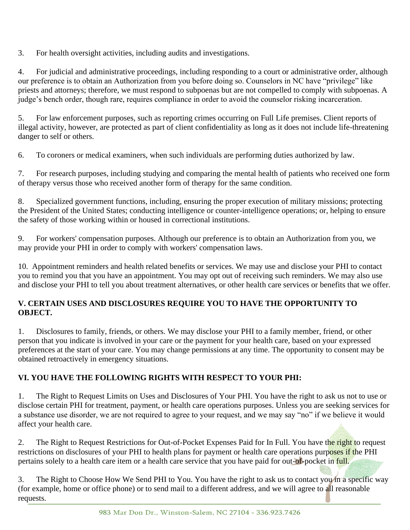3. For health oversight activities, including audits and investigations.

4. For judicial and administrative proceedings, including responding to a court or administrative order, although our preference is to obtain an Authorization from you before doing so. Counselors in NC have "privilege" like priests and attorneys; therefore, we must respond to subpoenas but are not compelled to comply with subpoenas. A judge's bench order, though rare, requires compliance in order to avoid the counselor risking incarceration.

5. For law enforcement purposes, such as reporting crimes occurring on Full Life premises. Client reports of illegal activity, however, are protected as part of client confidentiality as long as it does not include life-threatening danger to self or others.

6. To coroners or medical examiners, when such individuals are performing duties authorized by law.

7. For research purposes, including studying and comparing the mental health of patients who received one form of therapy versus those who received another form of therapy for the same condition.

8. Specialized government functions, including, ensuring the proper execution of military missions; protecting the President of the United States; conducting intelligence or counter-intelligence operations; or, helping to ensure the safety of those working within or housed in correctional institutions.

9. For workers' compensation purposes. Although our preference is to obtain an Authorization from you, we may provide your PHI in order to comply with workers' compensation laws.

10. Appointment reminders and health related benefits or services. We may use and disclose your PHI to contact you to remind you that you have an appointment. You may opt out of receiving such reminders. We may also use and disclose your PHI to tell you about treatment alternatives, or other health care services or benefits that we offer.

### **V. CERTAIN USES AND DISCLOSURES REQUIRE YOU TO HAVE THE OPPORTUNITY TO OBJECT.**

1. Disclosures to family, friends, or others. We may disclose your PHI to a family member, friend, or other person that you indicate is involved in your care or the payment for your health care, based on your expressed preferences at the start of your care. You may change permissions at any time. The opportunity to consent may be obtained retroactively in emergency situations.

### **VI. YOU HAVE THE FOLLOWING RIGHTS WITH RESPECT TO YOUR PHI:**

1. The Right to Request Limits on Uses and Disclosures of Your PHI. You have the right to ask us not to use or disclose certain PHI for treatment, payment, or health care operations purposes. Unless you are seeking services for a substance use disorder, we are not required to agree to your request, and we may say "no" if we believe it would affect your health care.

2. The Right to Request Restrictions for Out-of-Pocket Expenses Paid for In Full. You have the right to request restrictions on disclosures of your PHI to health plans for payment or health care operations purposes if the PHI pertains solely to a health care item or a health care service that you have paid for out-of-pocket in full.

3. The Right to Choose How We Send PHI to You. You have the right to ask us to contact you in a specific way (for example, home or office phone) or to send mail to a different address, and we will agree to all reasonable requests.